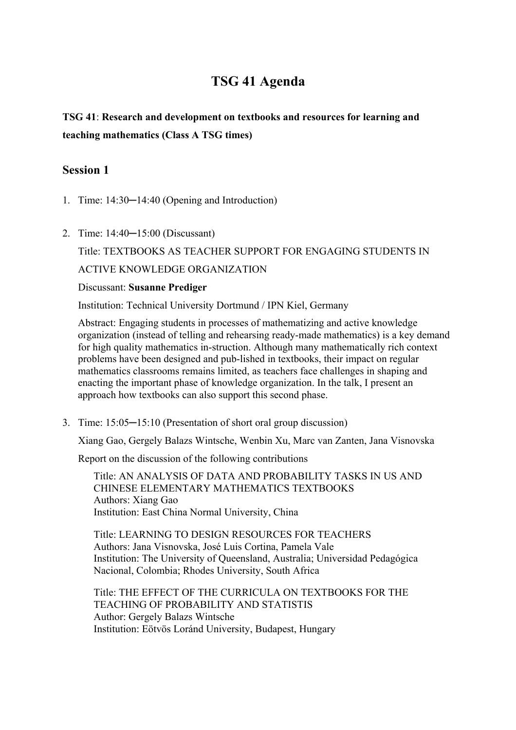# **TSG 41 Agenda**

# **TSG 41**: **Research and development on textbooks and resources for learning and teaching mathematics (Class A TSG times)**

### **Session 1**

- 1. Time: 14:30─14:40 (Opening and Introduction)
- 2. Time: 14:40─15:00 (Discussant)

Title: TEXTBOOKS AS TEACHER SUPPORT FOR ENGAGING STUDENTS IN ACTIVE KNOWLEDGE ORGANIZATION

#### Discussant: **Susanne Prediger**

Institution: Technical University Dortmund / IPN Kiel, Germany

Abstract: Engaging students in processes of mathematizing and active knowledge organization (instead of telling and rehearsing ready-made mathematics) is a key demand for high quality mathematics in-struction. Although many mathematically rich context problems have been designed and pub-lished in textbooks, their impact on regular mathematics classrooms remains limited, as teachers face challenges in shaping and enacting the important phase of knowledge organization. In the talk, I present an approach how textbooks can also support this second phase.

3. Time: 15:05─15:10 (Presentation of short oral group discussion)

Xiang Gao, Gergely Balazs Wintsche, Wenbin Xu, Marc van Zanten, Jana Visnovska

Report on the discussion of the following contributions

Title: AN ANALYSIS OF DATA AND PROBABILITY TASKS IN US AND CHINESE ELEMENTARY MATHEMATICS TEXTBOOKS Authors: Xiang Gao Institution: East China Normal University, China

Title: LEARNING TO DESIGN RESOURCES FOR TEACHERS Authors: Jana Visnovska, José Luis Cortina, Pamela Vale Institution: The University of Queensland, Australia; Universidad Pedagógica Nacional, Colombia; Rhodes University, South Africa

Title: THE EFFECT OF THE CURRICULA ON TEXTBOOKS FOR THE TEACHING OF PROBABILITY AND STATISTIS Author: Gergely Balazs Wintsche Institution: Eötvös Loránd University, Budapest, Hungary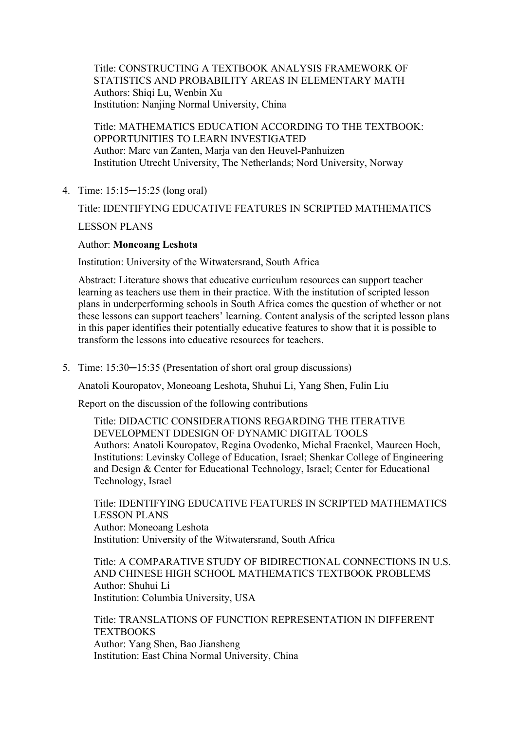Title: CONSTRUCTING A TEXTBOOK ANALYSIS FRAMEWORK OF STATISTICS AND PROBABILITY AREAS IN ELEMENTARY MATH Authors: Shiqi Lu, Wenbin Xu Institution: Nanjing Normal University, China

Title: MATHEMATICS EDUCATION ACCORDING TO THE TEXTBOOK: OPPORTUNITIES TO LEARN INVESTIGATED Author: Marc van Zanten, Marja van den Heuvel-Panhuizen Institution Utrecht University, The Netherlands; Nord University, Norway

4. Time: 15:15─15:25 (long oral)

## Title: IDENTIFYING EDUCATIVE FEATURES IN SCRIPTED MATHEMATICS LESSON PLANS

#### Author: **Moneoang Leshota**

Institution: University of the Witwatersrand, South Africa

Abstract: Literature shows that educative curriculum resources can support teacher learning as teachers use them in their practice. With the institution of scripted lesson plans in underperforming schools in South Africa comes the question of whether or not these lessons can support teachers' learning. Content analysis of the scripted lesson plans in this paper identifies their potentially educative features to show that it is possible to transform the lessons into educative resources for teachers.

5. Time: 15:30–15:35 (Presentation of short oral group discussions)

Anatoli Kouropatov, Moneoang Leshota, Shuhui Li, Yang Shen, Fulin Liu

Report on the discussion of the following contributions

Title: DIDACTIC CONSIDERATIONS REGARDING THE ITERATIVE DEVELOPMENT DDESIGN OF DYNAMIC DIGITAL TOOLS Authors: Anatoli Kouropatov, Regina Ovodenko, Michal Fraenkel, Maureen Hoch, Institutions: Levinsky College of Education, Israel; Shenkar College of Engineering and Design & Center for Educational Technology, Israel; Center for Educational Technology, Israel

Title: IDENTIFYING EDUCATIVE FEATURES IN SCRIPTED MATHEMATICS LESSON PLANS Author: Moneoang Leshota Institution: University of the Witwatersrand, South Africa

Title: A COMPARATIVE STUDY OF BIDIRECTIONAL CONNECTIONS IN U.S. AND CHINESE HIGH SCHOOL MATHEMATICS TEXTBOOK PROBLEMS Author: Shuhui Li Institution: Columbia University, USA

Title: TRANSLATIONS OF FUNCTION REPRESENTATION IN DIFFERENT **TEXTBOOKS** Author: Yang Shen, Bao Jiansheng Institution: East China Normal University, China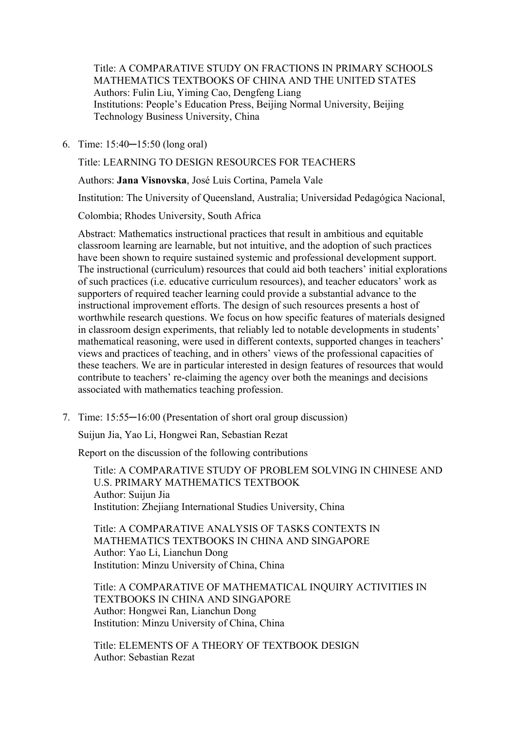Title: A COMPARATIVE STUDY ON FRACTIONS IN PRIMARY SCHOOLS MATHEMATICS TEXTBOOKS OF CHINA AND THE UNITED STATES Authors: Fulin Liu, Yiming Cao, Dengfeng Liang Institutions: People's Education Press, Beijing Normal University, Beijing Technology Business University, China

6. Time: 15:40─15:50 (long oral)

Title: LEARNING TO DESIGN RESOURCES FOR TEACHERS

Authors: **Jana Visnovska**, José Luis Cortina, Pamela Vale

Institution: The University of Queensland, Australia; Universidad Pedagógica Nacional,

Colombia; Rhodes University, South Africa

Abstract: Mathematics instructional practices that result in ambitious and equitable classroom learning are learnable, but not intuitive, and the adoption of such practices have been shown to require sustained systemic and professional development support. The instructional (curriculum) resources that could aid both teachers' initial explorations of such practices (i.e. educative curriculum resources), and teacher educators' work as supporters of required teacher learning could provide a substantial advance to the instructional improvement efforts. The design of such resources presents a host of worthwhile research questions. We focus on how specific features of materials designed in classroom design experiments, that reliably led to notable developments in students' mathematical reasoning, were used in different contexts, supported changes in teachers' views and practices of teaching, and in others' views of the professional capacities of these teachers. We are in particular interested in design features of resources that would contribute to teachers' re-claiming the agency over both the meanings and decisions associated with mathematics teaching profession.

7. Time: 15:55—16:00 (Presentation of short oral group discussion)

Suijun Jia, Yao Li, Hongwei Ran, Sebastian Rezat

Report on the discussion of the following contributions

Title: A COMPARATIVE STUDY OF PROBLEM SOLVING IN CHINESE AND U.S. PRIMARY MATHEMATICS TEXTBOOK Author: Suijun Jia Institution: Zhejiang International Studies University, China

Title: A COMPARATIVE ANALYSIS OF TASKS CONTEXTS IN MATHEMATICS TEXTBOOKS IN CHINA AND SINGAPORE Author: Yao Li, Lianchun Dong Institution: Minzu University of China, China

Title: A COMPARATIVE OF MATHEMATICAL INQUIRY ACTIVITIES IN TEXTBOOKS IN CHINA AND SINGAPORE Author: Hongwei Ran, Lianchun Dong Institution: Minzu University of China, China

Title: ELEMENTS OF A THEORY OF TEXTBOOK DESIGN Author: Sebastian Rezat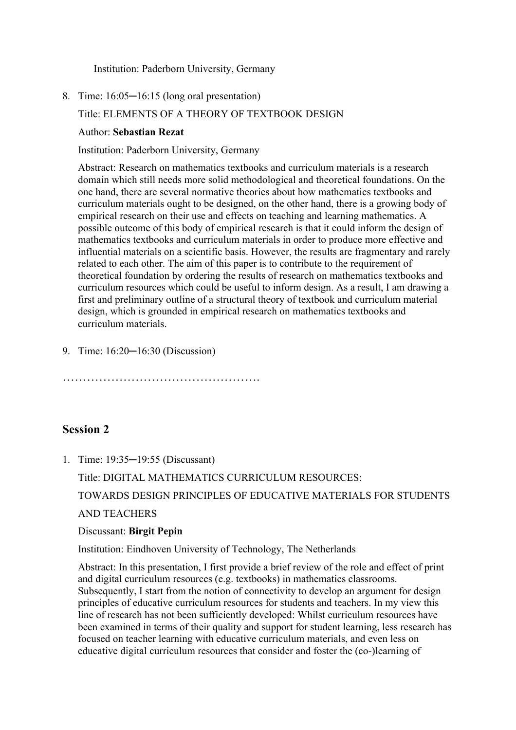Institution: Paderborn University, Germany

8. Time: 16:05─16:15 (long oral presentation)

### Title: ELEMENTS OF A THEORY OF TEXTBOOK DESIGN

#### Author: **Sebastian Rezat**

Institution: Paderborn University, Germany

Abstract: Research on mathematics textbooks and curriculum materials is a research domain which still needs more solid methodological and theoretical foundations. On the one hand, there are several normative theories about how mathematics textbooks and curriculum materials ought to be designed, on the other hand, there is a growing body of empirical research on their use and effects on teaching and learning mathematics. A possible outcome of this body of empirical research is that it could inform the design of mathematics textbooks and curriculum materials in order to produce more effective and influential materials on a scientific basis. However, the results are fragmentary and rarely related to each other. The aim of this paper is to contribute to the requirement of theoretical foundation by ordering the results of research on mathematics textbooks and curriculum resources which could be useful to inform design. As a result, I am drawing a first and preliminary outline of a structural theory of textbook and curriculum material design, which is grounded in empirical research on mathematics textbooks and curriculum materials.

9. Time: 16:20–16:30 (Discussion)

### **Session 2**

1. Time: 19:35─19:55 (Discussant)

Title: DIGITAL MATHEMATICS CURRICULUM RESOURCES:

TOWARDS DESIGN PRINCIPLES OF EDUCATIVE MATERIALS FOR STUDENTS

AND TEACHERS

#### Discussant: **Birgit Pepin**

Institution: Eindhoven University of Technology, The Netherlands

Abstract: In this presentation, I first provide a brief review of the role and effect of print and digital curriculum resources (e.g. textbooks) in mathematics classrooms. Subsequently, I start from the notion of connectivity to develop an argument for design principles of educative curriculum resources for students and teachers. In my view this line of research has not been sufficiently developed: Whilst curriculum resources have been examined in terms of their quality and support for student learning, less research has focused on teacher learning with educative curriculum materials, and even less on educative digital curriculum resources that consider and foster the (co-)learning of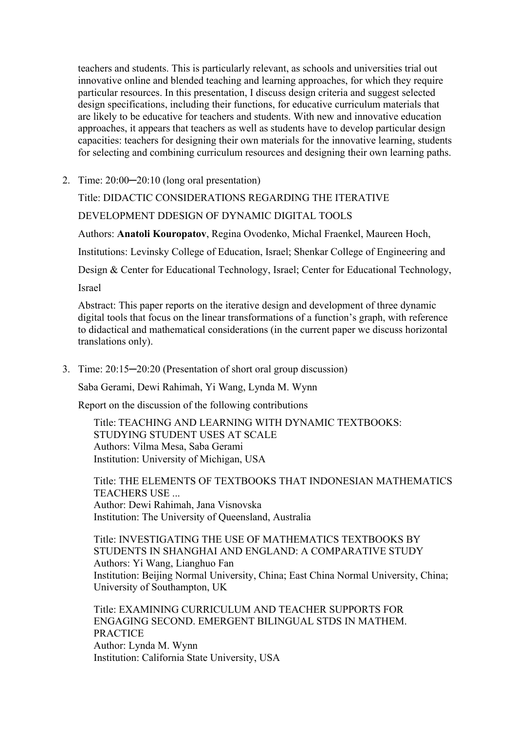teachers and students. This is particularly relevant, as schools and universities trial out innovative online and blended teaching and learning approaches, for which they require particular resources. In this presentation, I discuss design criteria and suggest selected design specifications, including their functions, for educative curriculum materials that are likely to be educative for teachers and students. With new and innovative education approaches, it appears that teachers as well as students have to develop particular design capacities: teachers for designing their own materials for the innovative learning, students for selecting and combining curriculum resources and designing their own learning paths.

2. Time: 20:00─20:10 (long oral presentation)

Title: DIDACTIC CONSIDERATIONS REGARDING THE ITERATIVE

DEVELOPMENT DDESIGN OF DYNAMIC DIGITAL TOOLS

Authors: **Anatoli Kouropatov**, Regina Ovodenko, Michal Fraenkel, Maureen Hoch,

Institutions: Levinsky College of Education, Israel; Shenkar College of Engineering and

Design & Center for Educational Technology, Israel; Center for Educational Technology,

Israel

Abstract: This paper reports on the iterative design and development of three dynamic digital tools that focus on the linear transformations of a function's graph, with reference to didactical and mathematical considerations (in the current paper we discuss horizontal translations only).

3. Time: 20:15─20:20 (Presentation of short oral group discussion)

Saba Gerami, Dewi Rahimah, Yi Wang, Lynda M. Wynn

Report on the discussion of the following contributions

Title: TEACHING AND LEARNING WITH DYNAMIC TEXTBOOKS: STUDYING STUDENT USES AT SCALE Authors: Vilma Mesa, Saba Gerami Institution: University of Michigan, USA

Title: THE ELEMENTS OF TEXTBOOKS THAT INDONESIAN MATHEMATICS TEACHERS USE ... Author: Dewi Rahimah, Jana Visnovska Institution: The University of Queensland, Australia

Title: INVESTIGATING THE USE OF MATHEMATICS TEXTBOOKS BY STUDENTS IN SHANGHAI AND ENGLAND: A COMPARATIVE STUDY Authors: Yi Wang, Lianghuo Fan Institution: Beijing Normal University, China; East China Normal University, China; University of Southampton, UK

Title: EXAMINING CURRICULUM AND TEACHER SUPPORTS FOR ENGAGING SECOND. EMERGENT BILINGUAL STDS IN MATHEM. PRACTICE Author: Lynda M. Wynn Institution: California State University, USA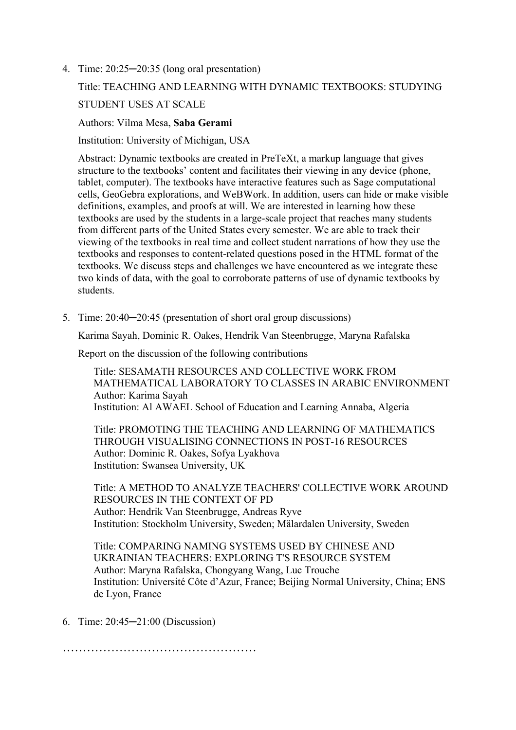4. Time: 20:25─20:35 (long oral presentation)

# Title: TEACHING AND LEARNING WITH DYNAMIC TEXTBOOKS: STUDYING STUDENT USES AT SCALE

#### Authors: Vilma Mesa, **Saba Gerami**

Institution: University of Michigan, USA

Abstract: Dynamic textbooks are created in PreTeXt, a markup language that gives structure to the textbooks' content and facilitates their viewing in any device (phone, tablet, computer). The textbooks have interactive features such as Sage computational cells, GeoGebra explorations, and WeBWork. In addition, users can hide or make visible definitions, examples, and proofs at will. We are interested in learning how these textbooks are used by the students in a large-scale project that reaches many students from different parts of the United States every semester. We are able to track their viewing of the textbooks in real time and collect student narrations of how they use the textbooks and responses to content-related questions posed in the HTML format of the textbooks. We discuss steps and challenges we have encountered as we integrate these two kinds of data, with the goal to corroborate patterns of use of dynamic textbooks by students.

5. Time:  $20:40-20:45$  (presentation of short oral group discussions)

Karima Sayah, Dominic R. Oakes, Hendrik Van Steenbrugge, Maryna Rafalska

Report on the discussion of the following contributions

Title: SESAMATH RESOURCES AND COLLECTIVE WORK FROM MATHEMATICAL LABORATORY TO CLASSES IN ARABIC ENVIRONMENT Author: Karima Sayah Institution: Al AWAEL School of Education and Learning Annaba, Algeria

Title: PROMOTING THE TEACHING AND LEARNING OF MATHEMATICS THROUGH VISUALISING CONNECTIONS IN POST-16 RESOURCES Author: Dominic R. Oakes, Sofya Lyakhova Institution: Swansea University, UK

Title: A METHOD TO ANALYZE TEACHERS' COLLECTIVE WORK AROUND RESOURCES IN THE CONTEXT OF PD Author: Hendrik Van Steenbrugge, Andreas Ryve Institution: Stockholm University, Sweden; Mälardalen University, Sweden

Title: COMPARING NAMING SYSTEMS USED BY CHINESE AND UKRAINIAN TEACHERS: EXPLORING T'S RESOURCE SYSTEM Author: Maryna Rafalska, Chongyang Wang, Luc Trouche Institution: Université Côte d'Azur, France; Beijing Normal University, China; ENS de Lyon, France

6. Time: 20:45─21:00 (Discussion)

…………………………………………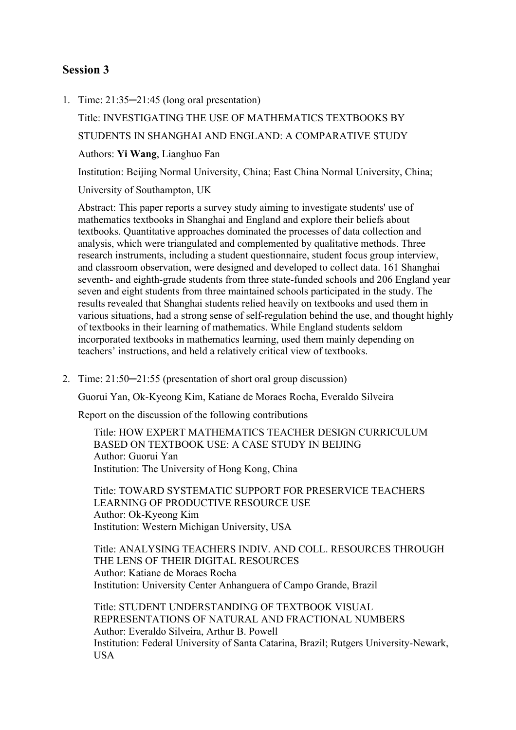### **Session 3**

1. Time: 21:35─21:45 (long oral presentation)

Title: INVESTIGATING THE USE OF MATHEMATICS TEXTBOOKS BY STUDENTS IN SHANGHAI AND ENGLAND: A COMPARATIVE STUDY Authors: **Yi Wang**, Lianghuo Fan Institution: Beijing Normal University, China; East China Normal University, China;

University of Southampton, UK

Abstract: This paper reports a survey study aiming to investigate students' use of mathematics textbooks in Shanghai and England and explore their beliefs about textbooks. Quantitative approaches dominated the processes of data collection and analysis, which were triangulated and complemented by qualitative methods. Three research instruments, including a student questionnaire, student focus group interview, and classroom observation, were designed and developed to collect data. 161 Shanghai seventh- and eighth-grade students from three state-funded schools and 206 England year seven and eight students from three maintained schools participated in the study. The results revealed that Shanghai students relied heavily on textbooks and used them in various situations, had a strong sense of self-regulation behind the use, and thought highly of textbooks in their learning of mathematics. While England students seldom incorporated textbooks in mathematics learning, used them mainly depending on teachers' instructions, and held a relatively critical view of textbooks.

2. Time: 21:50─21:55 (presentation of short oral group discussion)

Guorui Yan, Ok-Kyeong Kim, Katiane de Moraes Rocha, Everaldo Silveira

Report on the discussion of the following contributions

Title: HOW EXPERT MATHEMATICS TEACHER DESIGN CURRICULUM BASED ON TEXTBOOK USE: A CASE STUDY IN BEIJING Author: Guorui Yan Institution: The University of Hong Kong, China

Title: TOWARD SYSTEMATIC SUPPORT FOR PRESERVICE TEACHERS LEARNING OF PRODUCTIVE RESOURCE USE Author: Ok-Kyeong Kim Institution: Western Michigan University, USA

Title: ANALYSING TEACHERS INDIV. AND COLL. RESOURCES THROUGH THE LENS OF THEIR DIGITAL RESOURCES Author: Katiane de Moraes Rocha Institution: University Center Anhanguera of Campo Grande, Brazil

Title: STUDENT UNDERSTANDING OF TEXTBOOK VISUAL REPRESENTATIONS OF NATURAL AND FRACTIONAL NUMBERS Author: Everaldo Silveira, Arthur B. Powell Institution: Federal University of Santa Catarina, Brazil; Rutgers University-Newark, **USA**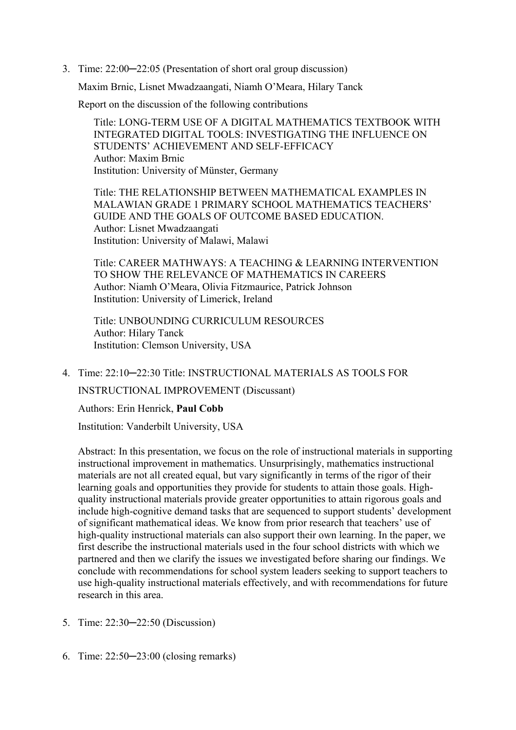3. Time: 22:00─22:05 (Presentation of short oral group discussion)

Maxim Brnic, Lisnet Mwadzaangati, Niamh O'Meara, Hilary Tanck

Report on the discussion of the following contributions

Title: LONG-TERM USE OF A DIGITAL MATHEMATICS TEXTBOOK WITH INTEGRATED DIGITAL TOOLS: INVESTIGATING THE INFLUENCE ON STUDENTS' ACHIEVEMENT AND SELF-EFFICACY Author: Maxim Brnic Institution: University of Münster, Germany

Title: THE RELATIONSHIP BETWEEN MATHEMATICAL EXAMPLES IN MALAWIAN GRADE 1 PRIMARY SCHOOL MATHEMATICS TEACHERS' GUIDE AND THE GOALS OF OUTCOME BASED EDUCATION. Author: Lisnet Mwadzaangati Institution: University of Malawi, Malawi

Title: CAREER MATHWAYS: A TEACHING & LEARNING INTERVENTION TO SHOW THE RELEVANCE OF MATHEMATICS IN CAREERS Author: Niamh O'Meara, Olivia Fitzmaurice, Patrick Johnson Institution: University of Limerick, Ireland

Title: UNBOUNDING CURRICULUM RESOURCES Author: Hilary Tanck Institution: Clemson University, USA

4. Time: 22:10─22:30 Title: INSTRUCTIONAL MATERIALS AS TOOLS FOR INSTRUCTIONAL IMPROVEMENT (Discussant)

Authors: Erin Henrick, **Paul Cobb**

Institution: Vanderbilt University, USA

Abstract: In this presentation, we focus on the role of instructional materials in supporting instructional improvement in mathematics. Unsurprisingly, mathematics instructional materials are not all created equal, but vary significantly in terms of the rigor of their learning goals and opportunities they provide for students to attain those goals. Highquality instructional materials provide greater opportunities to attain rigorous goals and include high-cognitive demand tasks that are sequenced to support students' development of significant mathematical ideas. We know from prior research that teachers' use of high-quality instructional materials can also support their own learning. In the paper, we first describe the instructional materials used in the four school districts with which we partnered and then we clarify the issues we investigated before sharing our findings. We conclude with recommendations for school system leaders seeking to support teachers to use high-quality instructional materials effectively, and with recommendations for future research in this area.

- 5. Time: 22:30─22:50 (Discussion)
- 6. Time: 22:50─23:00 (closing remarks)